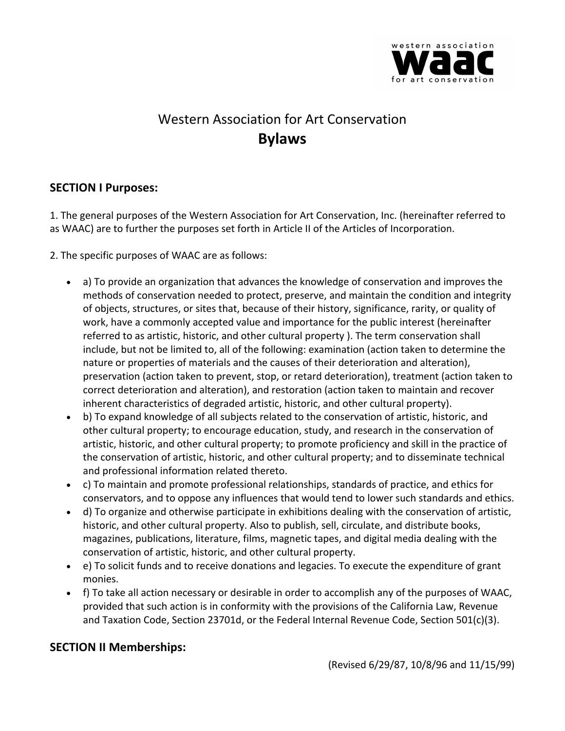

# Western Association for Art Conservation **Bylaws**

# **SECTION I Purposes:**

1. The general purposes of the Western Association for Art Conservation, Inc. (hereinafter referred to as WAAC) are to further the purposes set forth in Article II of the Articles of Incorporation.

2. The specific purposes of WAAC are as follows:

- a) To provide an organization that advances the knowledge of conservation and improves the methods of conservation needed to protect, preserve, and maintain the condition and integrity of objects, structures, or sites that, because of their history, significance, rarity, or quality of work, have a commonly accepted value and importance for the public interest (hereinafter referred to as artistic, historic, and other cultural property ). The term conservation shall include, but not be limited to, all of the following: examination (action taken to determine the nature or properties of materials and the causes of their deterioration and alteration), preservation (action taken to prevent, stop, or retard deterioration), treatment (action taken to correct deterioration and alteration), and restoration (action taken to maintain and recover inherent characteristics of degraded artistic, historic, and other cultural property).
- b) To expand knowledge of all subjects related to the conservation of artistic, historic, and other cultural property; to encourage education, study, and research in the conservation of artistic, historic, and other cultural property; to promote proficiency and skill in the practice of the conservation of artistic, historic, and other cultural property; and to disseminate technical and professional information related thereto.
- c) To maintain and promote professional relationships, standards of practice, and ethics for conservators, and to oppose any influences that would tend to lower such standards and ethics.
- d) To organize and otherwise participate in exhibitions dealing with the conservation of artistic, historic, and other cultural property. Also to publish, sell, circulate, and distribute books, magazines, publications, literature, films, magnetic tapes, and digital media dealing with the conservation of artistic, historic, and other cultural property.
- e) To solicit funds and to receive donations and legacies. To execute the expenditure of grant monies.
- f) To take all action necessary or desirable in order to accomplish any of the purposes of WAAC, provided that such action is in conformity with the provisions of the California Law, Revenue and Taxation Code, Section 23701d, or the Federal Internal Revenue Code, Section 501(c)(3).

# **SECTION II Memberships:**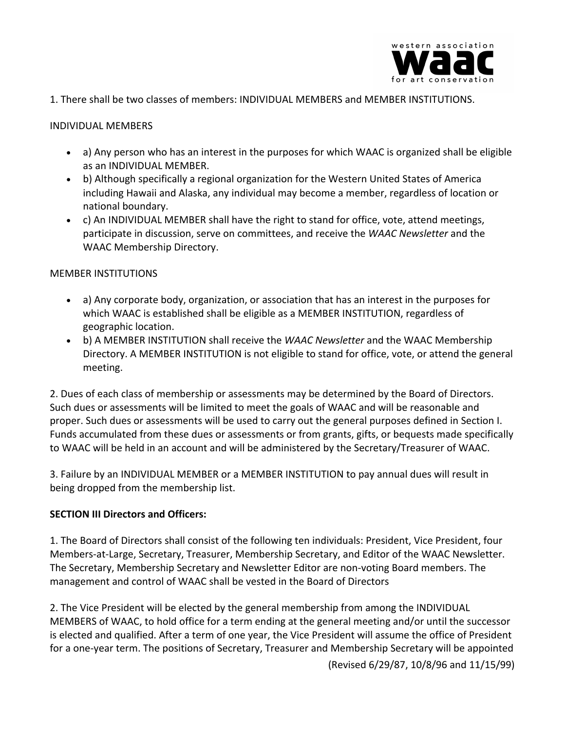

1. There shall be two classes of members: INDIVIDUAL MEMBERS and MEMBER INSTITUTIONS.

#### INDIVIDUAL MEMBERS

- a) Any person who has an interest in the purposes for which WAAC is organized shall be eligible as an INDIVIDUAL MEMBER.
- b) Although specifically a regional organization for the Western United States of America including Hawaii and Alaska, any individual may become a member, regardless of location or national boundary.
- c) An INDIVIDUAL MEMBER shall have the right to stand for office, vote, attend meetings, participate in discussion, serve on committees, and receive the *WAAC Newsletter* and the WAAC Membership Directory.

#### MEMBER INSTITUTIONS

- a) Any corporate body, organization, or association that has an interest in the purposes for which WAAC is established shall be eligible as a MEMBER INSTITUTION, regardless of geographic location.
- b) A MEMBER INSTITUTION shall receive the *WAAC Newsletter* and the WAAC Membership Directory. A MEMBER INSTITUTION is not eligible to stand for office, vote, or attend the general meeting.

2. Dues of each class of membership or assessments may be determined by the Board of Directors. Such dues or assessments will be limited to meet the goals of WAAC and will be reasonable and proper. Such dues or assessments will be used to carry out the general purposes defined in Section I. Funds accumulated from these dues or assessments or from grants, gifts, or bequests made specifically to WAAC will be held in an account and will be administered by the Secretary/Treasurer of WAAC.

3. Failure by an INDIVIDUAL MEMBER or a MEMBER INSTITUTION to pay annual dues will result in being dropped from the membership list.

#### **SECTION III Directors and Officers:**

1. The Board of Directors shall consist of the following ten individuals: President, Vice President, four Members-at-Large, Secretary, Treasurer, Membership Secretary, and Editor of the WAAC Newsletter. The Secretary, Membership Secretary and Newsletter Editor are non-voting Board members. The management and control of WAAC shall be vested in the Board of Directors

2. The Vice President will be elected by the general membership from among the INDIVIDUAL MEMBERS of WAAC, to hold office for a term ending at the general meeting and/or until the successor is elected and qualified. After a term of one year, the Vice President will assume the office of President for a one-year term. The positions of Secretary, Treasurer and Membership Secretary will be appointed

(Revised 6/29/87, 10/8/96 and 11/15/99)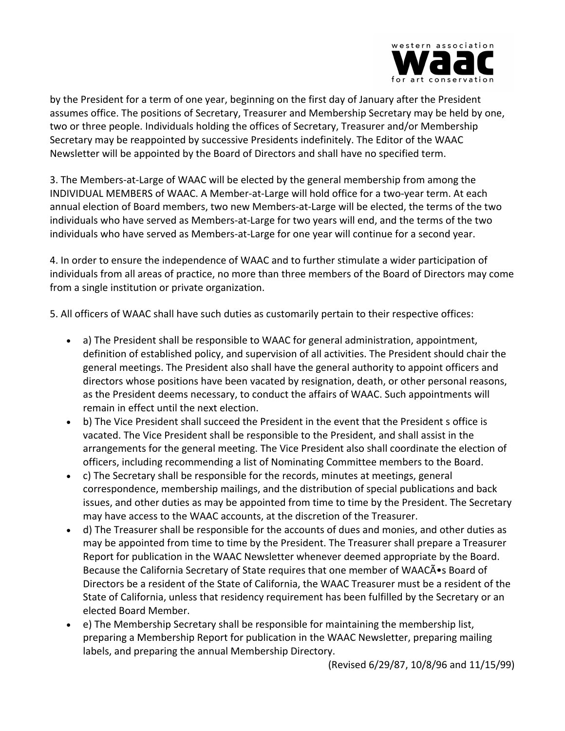

by the President for a term of one year, beginning on the first day of January after the President assumes office. The positions of Secretary, Treasurer and Membership Secretary may be held by one, two or three people. Individuals holding the offices of Secretary, Treasurer and/or Membership Secretary may be reappointed by successive Presidents indefinitely. The Editor of the WAAC Newsletter will be appointed by the Board of Directors and shall have no specified term.

3. The Members-at-Large of WAAC will be elected by the general membership from among the INDIVIDUAL MEMBERS of WAAC. A Member-at-Large will hold office for a two-year term. At each annual election of Board members, two new Members-at-Large will be elected, the terms of the two individuals who have served as Members-at-Large for two years will end, and the terms of the two individuals who have served as Members-at-Large for one year will continue for a second year.

4. In order to ensure the independence of WAAC and to further stimulate a wider participation of individuals from all areas of practice, no more than three members of the Board of Directors may come from a single institution or private organization.

5. All officers of WAAC shall have such duties as customarily pertain to their respective offices:

- a) The President shall be responsible to WAAC for general administration, appointment, definition of established policy, and supervision of all activities. The President should chair the general meetings. The President also shall have the general authority to appoint officers and directors whose positions have been vacated by resignation, death, or other personal reasons, as the President deems necessary, to conduct the affairs of WAAC. Such appointments will remain in effect until the next election.
- b) The Vice President shall succeed the President in the event that the President s office is vacated. The Vice President shall be responsible to the President, and shall assist in the arrangements for the general meeting. The Vice President also shall coordinate the election of officers, including recommending a list of Nominating Committee members to the Board.
- c) The Secretary shall be responsible for the records, minutes at meetings, general correspondence, membership mailings, and the distribution of special publications and back issues, and other duties as may be appointed from time to time by the President. The Secretary may have access to the WAAC accounts, at the discretion of the Treasurer.
- d) The Treasurer shall be responsible for the accounts of dues and monies, and other duties as may be appointed from time to time by the President. The Treasurer shall prepare a Treasurer Report for publication in the WAAC Newsletter whenever deemed appropriate by the Board. Because the California Secretary of State requires that one member of WAACA • s Board of Directors be a resident of the State of California, the WAAC Treasurer must be a resident of the State of California, unless that residency requirement has been fulfilled by the Secretary or an elected Board Member.
- e) The Membership Secretary shall be responsible for maintaining the membership list, preparing a Membership Report for publication in the WAAC Newsletter, preparing mailing labels, and preparing the annual Membership Directory.

(Revised 6/29/87, 10/8/96 and 11/15/99)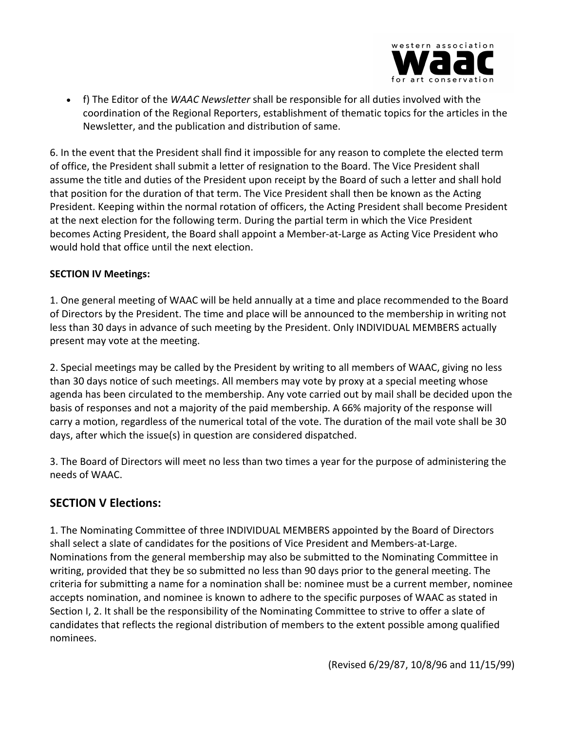

• f) The Editor of the *WAAC Newsletter* shall be responsible for all duties involved with the coordination of the Regional Reporters, establishment of thematic topics for the articles in the Newsletter, and the publication and distribution of same.

6. In the event that the President shall find it impossible for any reason to complete the elected term of office, the President shall submit a letter of resignation to the Board. The Vice President shall assume the title and duties of the President upon receipt by the Board of such a letter and shall hold that position for the duration of that term. The Vice President shall then be known as the Acting President. Keeping within the normal rotation of officers, the Acting President shall become President at the next election for the following term. During the partial term in which the Vice President becomes Acting President, the Board shall appoint a Member-at-Large as Acting Vice President who would hold that office until the next election.

#### **SECTION IV Meetings:**

1. One general meeting of WAAC will be held annually at a time and place recommended to the Board of Directors by the President. The time and place will be announced to the membership in writing not less than 30 days in advance of such meeting by the President. Only INDIVIDUAL MEMBERS actually present may vote at the meeting.

2. Special meetings may be called by the President by writing to all members of WAAC, giving no less than 30 days notice of such meetings. All members may vote by proxy at a special meeting whose agenda has been circulated to the membership. Any vote carried out by mail shall be decided upon the basis of responses and not a majority of the paid membership. A 66% majority of the response will carry a motion, regardless of the numerical total of the vote. The duration of the mail vote shall be 30 days, after which the issue(s) in question are considered dispatched.

3. The Board of Directors will meet no less than two times a year for the purpose of administering the needs of WAAC.

## **SECTION V Elections:**

1. The Nominating Committee of three INDIVIDUAL MEMBERS appointed by the Board of Directors shall select a slate of candidates for the positions of Vice President and Members-at-Large. Nominations from the general membership may also be submitted to the Nominating Committee in writing, provided that they be so submitted no less than 90 days prior to the general meeting. The criteria for submitting a name for a nomination shall be: nominee must be a current member, nominee accepts nomination, and nominee is known to adhere to the specific purposes of WAAC as stated in Section I, 2. It shall be the responsibility of the Nominating Committee to strive to offer a slate of candidates that reflects the regional distribution of members to the extent possible among qualified nominees.